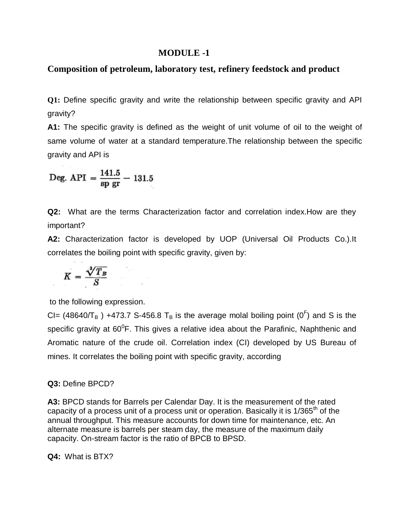# **MODULE -1**

## **Composition of petroleum, laboratory test, refinery feedstock and product**

**Q1:** Define specific gravity and write the relationship between specific gravity and API gravity?

**A1:** The specific gravity is defined as the weight of unit volume of oil to the weight of same volume of water at a standard temperature.The relationship between the specific gravity and API is

Deg. API  $=$   $\frac{141.5}{8\text{p gr}} - 131.5$ 

**Q2:** What are the terms Characterization factor and correlation index.How are they important?

**A2:** Characterization factor is developed by UOP (Universal Oil Products Co.).It correlates the boiling point with specific gravity, given by:

$$
K = \frac{\sqrt[3]{T_B}}{S}
$$

to the following expression.

CI= (48640/T<sub>B</sub>) +473.7 S-456.8 T<sub>B</sub> is the average molal boiling point (0<sup>F</sup>) and S is the specific gravity at 60<sup>0</sup>F. This gives a relative idea about the Parafinic, Naphthenic and Aromatic nature of the crude oil. Correlation index (CI) developed by US Bureau of mines. It correlates the boiling point with specific gravity, according

#### **Q3:** Define BPCD?

**A3:** BPCD stands for Barrels per Calendar Day. It is the measurement of the rated capacity of a process unit of a process unit or operation. Basically it is 1/365<sup>th</sup> of the annual throughput. This measure accounts for down time for maintenance, etc. An alternate measure is barrels per steam day, the measure of the maximum daily capacity. On-stream factor is the ratio of BPCB to BPSD.

**Q4:** What is BTX?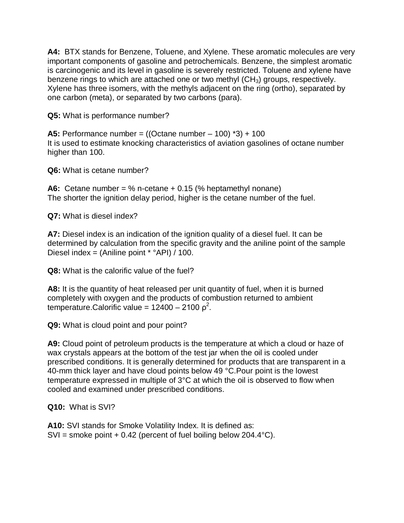**A4:** BTX stands for Benzene, Toluene, and Xylene. These aromatic molecules are very important components of gasoline and petrochemicals. Benzene, the simplest aromatic is carcinogenic and its level in gasoline is severely restricted. Toluene and xylene have benzene rings to which are attached one or two methyl  $(CH_3)$  groups, respectively. Xylene has three isomers, with the methyls adjacent on the ring (ortho), separated by one carbon (meta), or separated by two carbons (para).

**Q5:** What is performance number?

**A5:** Performance number = ((Octane number – 100) \*3) + 100 It is used to estimate knocking characteristics of aviation gasolines of octane number higher than 100.

**Q6:** What is cetane number?

**A6:** Cetane number = % n-cetane + 0.15 (% heptamethyl nonane) The shorter the ignition delay period, higher is the cetane number of the fuel.

**Q7:** What is diesel index?

**A7:** Diesel index is an indication of the ignition quality of a diesel fuel. It can be determined by calculation from the specific gravity and the aniline point of the sample Diesel index = (Aniline point \* °API) / 100.

**Q8:** What is the calorific value of the fuel?

**A8:** It is the quantity of heat released per unit quantity of fuel, when it is burned completely with oxygen and the products of combustion returned to ambient temperature.Calorific value = 12400 - 2100  $\rho^2$ .

**Q9:** What is cloud point and pour point?

**A9:** Cloud point of petroleum products is the temperature at which a cloud or haze of wax crystals appears at the bottom of the test jar when the oil is cooled under prescribed conditions. It is generally determined for products that are transparent in a 40-mm thick layer and have cloud points below 49 °C.Pour point is the lowest temperature expressed in multiple of 3°C at which the oil is observed to flow when cooled and examined under prescribed conditions.

**Q10:** What is SVI?

**A10:** SVI stands for Smoke Volatility Index. It is defined as:  $SVI =$  smoke point + 0.42 (percent of fuel boiling below 204.4 °C).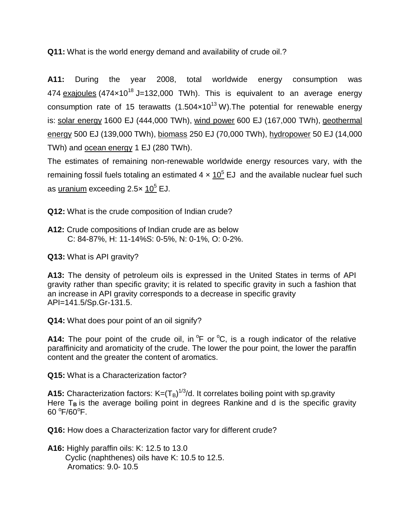**Q11:** What is the world energy demand and availability of crude oil.?

**A11:** During the year 2008, total worldwide energy consumption was 474  $exajoules$  (474 $\times$ 10<sup>18</sup> J=132,000 TWh). This is equivalent to an average energy consumption rate of 15 terawatts  $(1.504 \times 10^{13} \text{ W})$ . The potential for renewable energy is: solar energy 1600 EJ (444,000 TWh), wind power 600 EJ (167,000 TWh), geothermal energy 500 EJ (139,000 TWh), biomass 250 EJ (70,000 TWh), hydropower 50 EJ (14,000 TWh) and ocean energy 1 EJ (280 TWh).

The estimates of remaining non-renewable worldwide energy resources vary, with the remaining fossil fuels totaling an estimated  $4 \times 10^5$  EJ and the available nuclear fuel such as uranium exceeding  $2.5 \times 10^5$  EJ.

**Q12:** What is the crude composition of Indian crude?

**A12:** Crude compositions of Indian crude are as below C: 84-87%, H: 11-14%S: 0-5%, N: 0-1%, O: 0-2%.

**Q13:** What is API gravity?

**A13:** The density of petroleum oils is expressed in the United States in terms of API gravity rather than specific gravity; it is related to specific gravity in such a fashion that an increase in API gravity corresponds to a decrease in specific gravity API=141.5/Sp.Gr-131.5.

**Q14:** What does pour point of an oil signify?

A14: The pour point of the crude oil, in  ${}^{\circ}$ F or  ${}^{\circ}$ C, is a rough indicator of the relative paraffinicity and aromaticity of the crude. The lower the pour point, the lower the paraffin content and the greater the content of aromatics.

**Q15:** What is a Characterization factor?

**A15:** Characterization factors:  $K=(T_B)^{1/3}/d$ . It correlates boiling point with sp.gravity Here T<sub>B</sub> is the average boiling point in degrees Rankine and d is the specific gravity  $60 °F/60 °F$ .

**Q16:** How does a Characterization factor vary for different crude?

**A16:** Highly paraffin oils: K: 12.5 to 13.0 Cyclic (naphthenes) oils have K: 10.5 to 12.5. Aromatics: 9.0- 10.5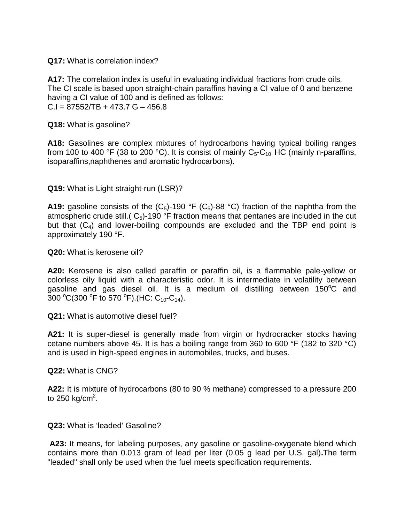## **Q17:** What is correlation index?

**A17:** The correlation index is useful in evaluating individual fractions from crude oils. The CI scale is based upon straight-chain paraffins having a CI value of 0 and benzene having a CI value of 100 and is defined as follows:  $C.I = 87552/TB + 473.7 G - 456.8$ 

**Q18:** What is gasoline?

**A18:** Gasolines are complex mixtures of hydrocarbons having typical boiling ranges from 100 to 400 °F (38 to 200 °C). It is consist of mainly  $C_5-C_{10}$  HC (mainly n-paraffins, isoparaffins,naphthenes and aromatic hydrocarbons).

# **Q19:** What is Light straight-run (LSR)?

**A19:** gasoline consists of the  $(C_5)$ -190 °F  $(C_5)$ -88 °C) fraction of the naphtha from the atmospheric crude still.( $C_5$ )-190 °F fraction means that pentanes are included in the cut but that  $(C_4)$  and lower-boiling compounds are excluded and the TBP end point is approximately 190 °F.

**Q20:** What is kerosene oil?

**A20:** Kerosene is also called paraffin or paraffin oil, is a flammable pale-yellow or colorless oily liquid with a characteristic odor. It is intermediate in volatility between gasoline and gas diesel oil. It is a medium oil distilling between  $150^{\circ}$ C and  $300 °C(300 °F)$  to 570 °F). (HC:  $C_{10}$ - $C_{14}$ ).

**Q21:** What is automotive diesel fuel?

**A21:** It is super-diesel is generally made from virgin or hydrocracker stocks having cetane numbers above 45. It is has a boiling range from 360 to 600 °F (182 to 320 °C) and is used in high-speed engines in automobiles, trucks, and buses.

**Q22:** What is CNG?

**A22:** It is mixture of hydrocarbons (80 to 90 % methane) compressed to a pressure 200 to 250 kg/cm<sup>2</sup>.

**Q23:** What is 'leaded' Gasoline?

A23: It means, for labeling purposes, any gasoline or gasoline-oxygenate blend which contains more than 0.013 gram of lead per liter (0.05 g lead per U.S. gal)**.**The term "leaded" shall only be used when the fuel meets specification requirements.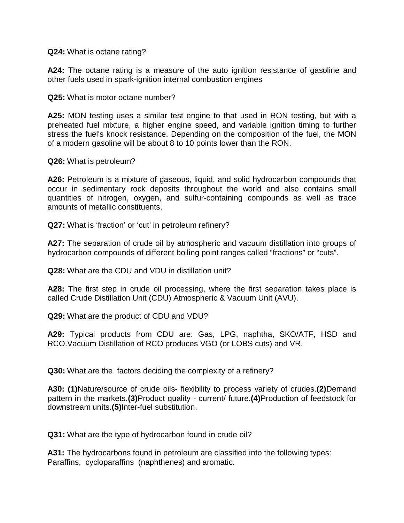**Q24:** What is octane rating?

**A24:** The octane rating is a measure of the auto ignition resistance of gasoline and other fuels used in spark-ignition internal combustion engines

**Q25:** What is motor octane number?

**A25:** MON testing uses a similar test engine to that used in RON testing, but with a preheated fuel mixture, a higher engine speed, and variable ignition timing to further stress the fuel's knock resistance. Depending on the composition of the fuel, the MON of a modern gasoline will be about 8 to 10 points lower than the RON.

**Q26:** What is petroleum?

**A26:** Petroleum is a mixture of gaseous, liquid, and solid hydrocarbon compounds that occur in sedimentary rock deposits throughout the world and also contains small quantities of nitrogen, oxygen, and sulfur-containing compounds as well as trace amounts of metallic constituents.

**Q27:** What is 'fraction' or 'cut' in petroleum refinery?

**A27:** The separation of crude oil by atmospheric and vacuum distillation into groups of hydrocarbon compounds of different boiling point ranges called "fractions" or "cuts".

**Q28:** What are the CDU and VDU in distillation unit?

**A28:** The first step in crude oil processing, where the first separation takes place is called Crude Distillation Unit (CDU) Atmospheric & Vacuum Unit (AVU).

**Q29:** What are the product of CDU and VDU?

**A29:** Typical products from CDU are: Gas, LPG, naphtha, SKO/ATF, HSD and RCO.Vacuum Distillation of RCO produces VGO (or LOBS cuts) and VR.

**Q30:** What are the factors deciding the complexity of a refinery?

**A30: (1)**Nature/source of crude oils- flexibility to process variety of crudes.**(2)**Demand pattern in the markets.**(3)**Product quality - current/ future.**(4)**Production of feedstock for downstream units.**(5)**Inter-fuel substitution.

**Q31:** What are the type of hydrocarbon found in crude oil?

**A31:** The hydrocarbons found in petroleum are classified into the following types: Paraffins, cycloparaffins (naphthenes) and aromatic.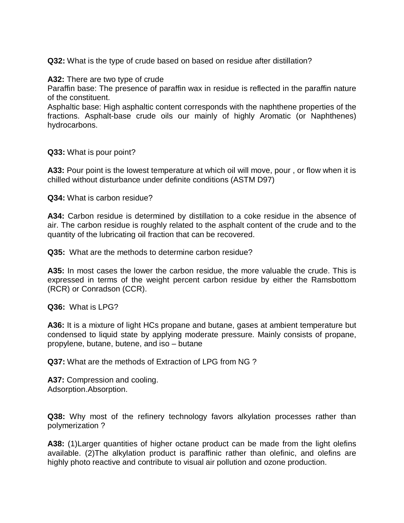**Q32:** What is the type of crude based on based on residue after distillation?

**A32:** There are two type of crude

Paraffin base: The presence of paraffin wax in residue is reflected in the paraffin nature of the constituent.

Asphaltic base: High asphaltic content corresponds with the naphthene properties of the fractions. Asphalt-base crude oils our mainly of highly Aromatic (or Naphthenes) hydrocarbons.

**Q33:** What is pour point?

**A33:** Pour point is the lowest temperature at which oil will move, pour , or flow when it is chilled without disturbance under definite conditions (ASTM D97)

**Q34:** What is carbon residue?

**A34:** Carbon residue is determined by distillation to a coke residue in the absence of air. The carbon residue is roughly related to the asphalt content of the crude and to the quantity of the lubricating oil fraction that can be recovered.

**Q35:** What are the methods to determine carbon residue?

**A35:** In most cases the lower the carbon residue, the more valuable the crude. This is expressed in terms of the weight percent carbon residue by either the Ramsbottom (RCR) or Conradson (CCR).

**Q36:** What is LPG?

**A36:** It is a mixture of light HCs propane and butane, gases at ambient temperature but condensed to liquid state by applying moderate pressure. Mainly consists of propane, propylene, butane, butene, and iso – butane

**Q37:** What are the methods of Extraction of LPG from NG ?

**A37:** Compression and cooling. Adsorption.Absorption.

**Q38:** Why most of the refinery technology favors alkylation processes rather than polymerization ?

**A38:** (1)Larger quantities of higher octane product can be made from the light olefins available. (2)The alkylation product is paraffinic rather than olefinic, and olefins are highly photo reactive and contribute to visual air pollution and ozone production.